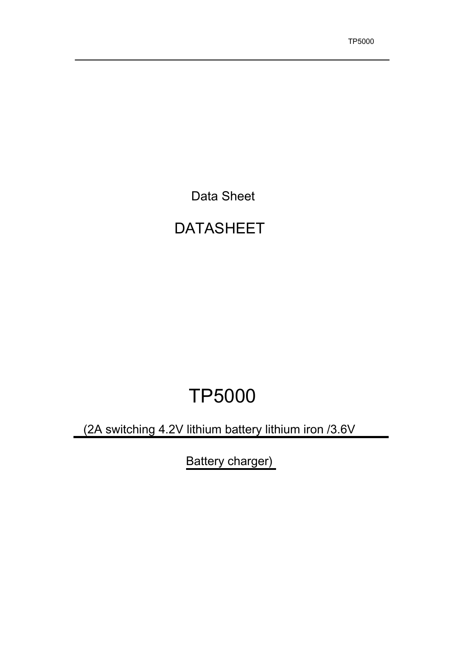Data Sheet

# DATASHEET

# TP5000

(2A switching 4.2V lithium battery lithium iron /3.6V

Battery charger)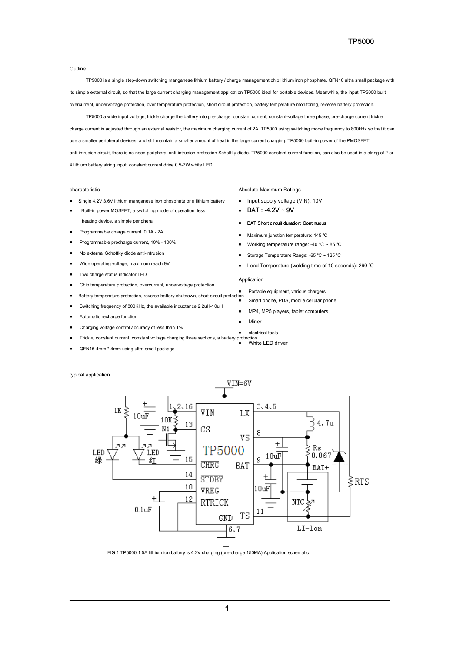**Outline** 

TP5000 is a single step-down switching manganese lithium battery / charge management chip lithium iron phosphate. QFN16 ultra small package with its simple external circuit, so that the large current charging management application TP5000 ideal for portable devices. Meanwhile, the input TP5000 built overcurrent, undervoltage protection, over temperature protection, short circuit protection, battery temperature monitoring, reverse battery protection.

TP5000 a wide input voltage, trickle charge the battery into pre-charge, constant current, constant-voltage three phase, pre-charge current trickle charge current is adjusted through an external resistor, the maximum charging current of 2A. TP5000 using switching mode frequency to 800kHz so that it can use a smaller peripheral devices, and still maintain a smaller amount of heat in the large current charging. TP5000 built-in power of the PMOSFET, anti-intrusion circuit, there is no need peripheral anti-intrusion protection Schottky diode. TP5000 constant current function, can also be used in a string of 2 or 4 lithium battery string input, constant current drive 0.5-7W white LED.

#### characteristic

- Single 4.2V 3.6V lithium manganese iron phosphate or a lithium battery
- Built-in power MOSFET, a switching mode of operation, less heating device, a simple peripheral
- Programmable charge current, 0.1A 2A
- Programmable precharge current, 10% 100%
- No external Schottky diode anti-intrusion
- Wide operating voltage, maximum reach 9V
- Two charge status indicator LED
- Chip temperature protection, overcurrent, undervoltage protection
- Battery temperature protection, reverse battery shutdown, short circuit protection
- Switching frequency of 800KHz, the available inductance 2.2uH-10uH
- Automatic recharge function
- Charging voltage control accuracy of less than 1%
- Trickle, constant current, constant voltage charging three sections, a battery prote ction<br>White LED driver
- QFN16 4mm \* 4mm using ultra small package

typical application



FIG 1 TP5000 1.5A lithium ion battery is 4.2V charging (pre-charge 150MA) Application schematic

## Absolute Maximum Ratings

- Input supply voltage (VIN): 10V
- BAT: -4.2V ~ 9V
- BAT Short circuit duration: Continuous
- Maximum junction temperature: 145 ℃
- Working temperature range: -40 ℃ ~ 85 ℃
- Storage Temperature Range: -65 ℃ ~ 125 ℃
- Lead Temperature (welding time of 10 seconds): 260 ℃

#### Application

- Portable equipment, various chargers
	- Smart phone, PDA, mobile cellular phone
	- MP4, MP5 players, tablet computers
- **Miner**
- electrical tools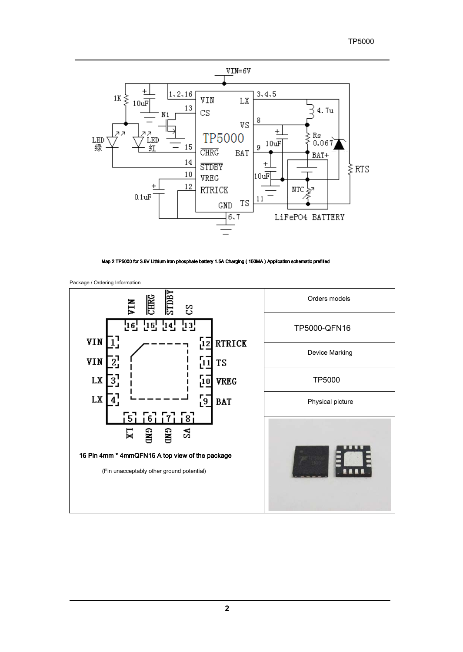# TP5000



Map 2 TP5000 for 3.6V Lithium iron phosphate battery 1.5A Charging ( 150MA ) Application sche



Package / Ordering Information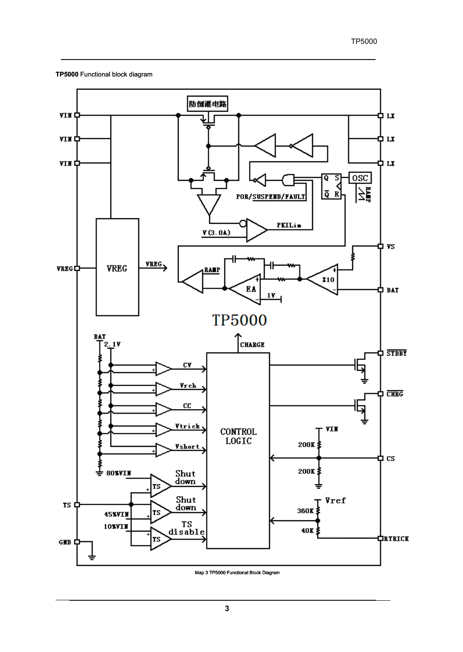## **TP5000** Functional block diagram



Map 3 TP5000 Functional Block Diagram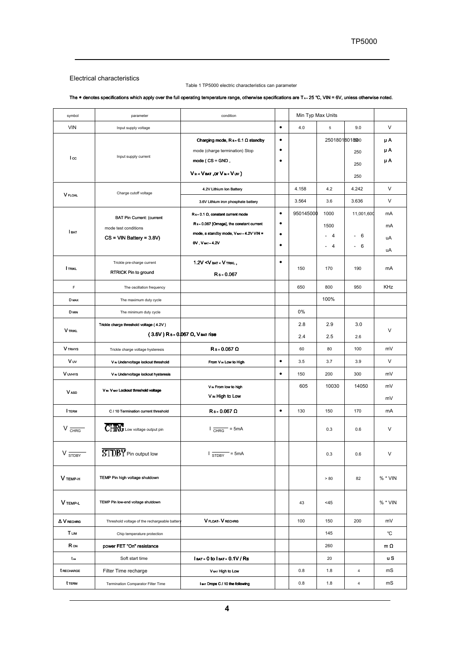# Electrical characteristics

### Table 1 TP5000 electric characteristics can parameter

# The . denotes specifications which apply over the full operating temperature range, otherwise specifications are T<sub>A</sub>-25 ℃, VIN = 6V, unless otherwise noted.

| symbol                     | parameter                                      | condition                                                                                                                        |           | Min Typ Max Units |                |             |           |
|----------------------------|------------------------------------------------|----------------------------------------------------------------------------------------------------------------------------------|-----------|-------------------|----------------|-------------|-----------|
| <b>VIN</b>                 | Input supply voltage                           |                                                                                                                                  | $\bullet$ | 4.0               | 5              | 9.0         | $\vee$    |
|                            |                                                | Charging mode, $Rs = 0.1$ $\Omega$ standby                                                                                       | $\bullet$ |                   | 2501801801800  |             | μA        |
|                            | Input supply current                           | mode (charge termination) Stop                                                                                                   | $\bullet$ |                   |                | 250         | μA        |
| I cc                       |                                                | $mode (CS = GND,$                                                                                                                | $\bullet$ |                   |                | 250         | μA        |
|                            |                                                | Vin< VBAT, OF Vin< Vuv)                                                                                                          |           |                   |                | 250         |           |
| <b>V</b> FLOAL             | Charge cutoff voltage                          | 4.2V Lithium Ion Battery                                                                                                         |           | 4.158             | 4.2            | 4.242       | $\vee$    |
|                            |                                                | 3.6V Lithium iron phosphate battery                                                                                              |           | 3.564             | 3.6            | 3.636       | $\vee$    |
|                            | <b>BAT Pin Current: (current</b>               | $Rs - 0.1$ $\Omega$ , constant current mode                                                                                      | $\bullet$ | 950145000         | 1000           | 11,001,600  | mA        |
| BAT                        | mode test conditions                           | Rs-0.067 [Omega], the constant current                                                                                           | ٠         |                   | 1500           |             | mA        |
|                            | $CS = VIN$ Battery = $3.8V$ )                  | mode, a standby mode, VBAT = 4.2V VIN =<br>0V, VBAT = 4.2V                                                                       | $\bullet$ |                   | 4              | 6<br>$\sim$ | uA        |
|                            |                                                |                                                                                                                                  | $\bullet$ |                   | $\overline{4}$ | - 6<br>÷,   | uA        |
|                            | Trickle pre-charge current                     | 1.2V <v <="" bat="" td="" trikl,<="" v=""><td><math display="inline">\bullet</math></td><td></td><td></td><td></td><td></td></v> | $\bullet$ |                   |                |             |           |
| <b>TRIKL</b>               | <b>RTRICK Pin to ground</b>                    | $Rs = 0.067$                                                                                                                     |           | 150               | 170            | 190         | mA        |
| F                          | The oscillation frequency                      |                                                                                                                                  |           | 650               | 800            | 950         | KHz       |
| D MAX                      | The maximum duty cycle                         |                                                                                                                                  |           |                   | 100%           |             |           |
| D MIN                      | The minimum duty cycle                         |                                                                                                                                  |           | 0%                |                |             |           |
|                            | Trickle charge threshold voltage (4.2V)        |                                                                                                                                  |           | 2.8               | 2.9            | 3.0         |           |
| <b>V</b> TRIKL             |                                                | $(3.6V)$ Rs = 0.067 $\Omega$ , V BAT rise                                                                                        |           | 2.4               | 2.5            | 2.6         | V         |
| <b>V</b> TRHYS             | Trickle charge voltage hysteresis              | $Rs = 0.067 \Omega$                                                                                                              |           | 60                | 80             | 100         | mV        |
| Vw                         | V <sub>IN</sub> Undervoltage lockout threshold | From V <sub>IN</sub> Low to High                                                                                                 | $\bullet$ | 3.5               | 3.7            | 3.9         | V         |
| <b>V</b> UVHYS             | V IN Undervoltage lockout hysteresis           |                                                                                                                                  | $\bullet$ | 150               | 200            | 300         | mV        |
| V ASD                      | V IN- V BAT LOCKOUt threshold voltage          | V <sub>IN</sub> From low to high<br>V <sub>IN</sub> High to Low                                                                  |           | 605               | 10030          | 14050       | mV<br>mV  |
| <b>I</b> TERM              | C / 10 Termination current threshold           | $Rs = 0.067 \Omega$                                                                                                              | $\bullet$ | 130               | 150            | 170         | mA        |
|                            |                                                |                                                                                                                                  |           |                   |                |             |           |
| $V \frac{1}{CHRG}$         | <b>CHRG</b> Low voltage output pin             | $I_{CHRG}$ = 5mA                                                                                                                 |           |                   | 0.3            | 0.6         | $\vee$    |
| $V \frac{1}{\text{STDBY}}$ | <b>STDBY</b> Pin output low                    | $I_{STDBY}$ = 5mA                                                                                                                |           |                   | 0.3            | 0.6         | $\vee$    |
| V TEMP-H                   | TEMP Pin high voltage shutdown                 |                                                                                                                                  |           |                   | > 80           | 82          | $%$ * VIN |
| V TEMP-L                   | TEMP Pin low-end voltage shutdown              |                                                                                                                                  |           | 43                | $<$ 45         |             | $%$ * VIN |
| A V RECHRG                 | Threshold voltage of the rechargeable battery  | V FLOAT- V RECHRG                                                                                                                |           | 100               | 150            | 200         | mV        |
| <b>T</b> <sub>LIM</sub>    | Chip temperature protection                    |                                                                                                                                  |           |                   | 145            |             | °C        |
| R <sub>on</sub>            | power FET "On" resistance                      |                                                                                                                                  |           |                   | 260            |             | $m\Omega$ |
| tss                        | Soft start time                                | I BAT = 0 to I BAT = 0.1V / RS                                                                                                   |           |                   | 20             |             | u S       |
| <b>t RECHARGE</b>          | Filter Time recharge                           | V BAT High to Low                                                                                                                |           | 0.8               | 1.8            | 4           | mS        |
| t term                     | Termination Comparator Filter Time             | I BAT Drops C / 10 the following                                                                                                 |           | 0.8               | 1.8            | 4           | mS        |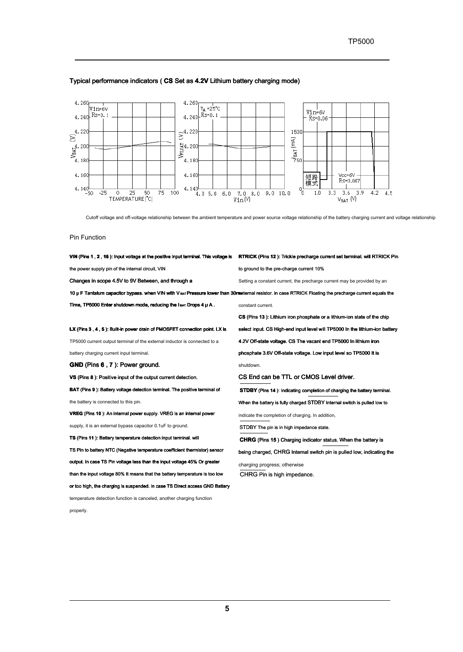

# Typical performance indicators ( **CS** Set as **4.2V** Lithium battery charging mode)

Cutoff voltage and off-voltage relationship between the ambient temperature and power source voltage relationship of the battery charging current and voltage relationship

#### Pin Function

| VIN (Pins 1, 2, 16): Input voltage at the positive input terminal. This voltage is                                                                        | <b>RTRICK</b> (Pins 12): Trickle precharge current set terminal. will RTRICK Pin |
|-----------------------------------------------------------------------------------------------------------------------------------------------------------|----------------------------------------------------------------------------------|
| the power supply pin of the internal circuit, VIN                                                                                                         | to ground to the pre-charge current 10%                                          |
| Changes in scope 4.5V to 9V Between, and through a                                                                                                        | Setting a constant current, the precharge current may be provided by an          |
| 10 µ F Tantalum capacitor bypass, when VIN with V evr Pressure lower than 30 mexternal resistor, in case RTRICK Floating the precharge current equals the |                                                                                  |
| Time, TP5000 Enter shutdown mode, reducing the lear Drops 4 u A.                                                                                          | constant current.                                                                |
|                                                                                                                                                           | CS (Pins 13): Lithium iron phosphate or a lithium-ion state of the chip          |
| LX (Pins 3, 4, 5): Built-in power drain of PMOSFET connection point. LX is                                                                                | select input. CS High-end input level will TP5000 In the lithium-ion battery     |
| TP5000 current output terminal of the external inductor is connected to a                                                                                 | 4.2V Off-state voltage. CS The vacant end TP5000 In lithium iron                 |
| battery charging current input terminal.                                                                                                                  | phosphate 3.6V Off-state voltage. Low input level so TP5000 It is                |
| <b>GND</b> (Pins 6, 7): Power ground.                                                                                                                     | shutdown.                                                                        |
| VS (Pins 8). Positive input of the output current detection.                                                                                              | CS End can be TTL or CMOS Level driver.                                          |
| BAT (Pins 9): Battery voltage detection terminal. The positive terminal of                                                                                | <b>STDBY</b> (Pins 14): Indicating completion of charging the battery terminal.  |
| the battery is connected to this pin.                                                                                                                     | When the battery is fully charged STDBY Internal switch is pulled low to         |
| VREG (Pins 10): An internal power supply. VREG is an internal power                                                                                       | indicate the completion of charging. In addition,                                |
| supply, it is an external bypass capacitor 0.1uF to ground.                                                                                               | STDBY The pin is in high impedance state.                                        |
| TS (Pins 11): Battery temperature detection input terminal. will                                                                                          | <b>CHRG</b> (Pins 15) Charging indicator status. When the battery is             |
| TS Pin to battery NTC (Negative temperature coefficient thermistor) sensor                                                                                | being charged, CHRG Internal switch pin is pulled low, indicating the            |
| output. in case TS Pin voltage less than the input voltage 45% Or greater                                                                                 | charging progress; otherwise                                                     |
| than the input voltage 80% It means that the battery temperature is too low                                                                               | CHRG Pin is high impedance.                                                      |

or too high, the charging is suspended. in case TS Direct access GND Battery

temperature detection function is canceled, another charging function

properly.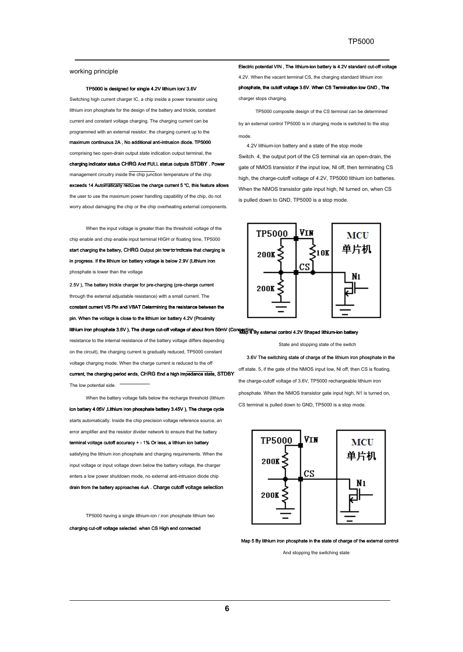#### working principle

#### TP5000 is designed for single 4.2V lithium ion/ 3.6V

Switching high current charger IC, a chip inside a power transistor using lithium iron phosphate for the design of the battery and trickle, constant current and constant voltage charging. The charging current can be programmed with an external resistor, the charging current up to the maximum continuous 2A , No additional anti-intrusion diode. TP5000 comprising two open-drain output state indication output terminal, the charging indicator status CHRG And FULL status outputs STDBY . Power management circuitry inside the chip junction temperature of the chip exceeds 14 Automatically reduces the charge current 5 ℃, this feature allows the user to use the maximum power handling capability of the chip, do not worry about damaging the chip or the chip overheating external components.

When the input voltage is greater than the threshold voltage of the chip enable and chip enable input terminal HIGH or floating time, TP5000 start charging the battery, CHRG Output pin low to indicate that charging is in progress. If the lithium ion battery voltage is below 2.9V (Lithium iron phosphate is lower than the voltage

2.5V ), The battery trickle charger for pre-charging (pre-charge current through the external adjustable resistance) with a small current. The constant current VS Pin and VBAT Determining the resistance between the pin. When the voltage is close to the lithium ion battery 4.2V (Proximity

lithium iron phosphate 3.6V ), The charge cut-off voltage of about from 50mV (Con**nection** By external control 4.2V Shaped lithium-ion battery resistance to the internal resistance of the battery voltage differs depending on the circuit), the charging current is gradually reduced, TP5000 constant voltage charging mode. When the charge current is reduced to the off current, the charging period ends, CHRG End a high impedance state, STDBY The low potential side.

When the battery voltage falls below the recharge threshold (lithium ion battery 4.05V ,Lithium iron phosphate battery 3.45V ), The charge cycle starts automatically. Inside the chip precision voltage reference source, an error amplifier and the resistor divider network to ensure that the battery terminal voltage cutoff accuracy + - 1% Or less, a lithium ion battery satisfying the lithium iron phosphate and charging requirements. When the input voltage or input voltage down below the battery voltage, the charger enters a low power shutdown mode, no external anti-intrusion diode chip drain from the battery approaches 4uA . Charge cutoff voltage selection

TP5000 having a single lithium-ion / iron phosphate lithium two

charging cut-off voltage selected. when CS High end connected

Electric potential VIN , The lithium-ion battery is 4.2V standard cut-off voltage 4.2V. When the vacant terminal CS, the charging standard lithium iron phosphate, the cutoff voltage 3.6V. When CS Termination low GND , The charger stops charging.

TP5000 composite design of the CS terminal can be determined by an external control TP5000 is in charging mode is switched to the stop mode.

4.2V lithium-ion battery and a state of the stop mode

Switch. 4, the output port of the CS terminal via an open-drain, the gate of NMOS transistor if the input low, Nl off, then terminating CS high, the charge-cutoff voltage of 4.2V, TP5000 lithium ion batteries. When the NMOS transistor gate input high, Nl turned on, when CS is pulled down to GND, TP5000 is a stop mode.



State and stopping state of the switch

3.6V The switching state of charge of the lithium iron phosphate in the off state. 5, if the gate of the NMOS input low, Nl off, then CS is floating, the charge-cutoff voltage of 3.6V, TP5000 rechargeable lithium iron phosphate. When the NMOS transistor gate input high, N1 is turned on, CS terminal is pulled down to GND, TP5000 is a stop mode.



Map 5 By lithium iron phosphate in the state of charge of the external control

And stopping the switching state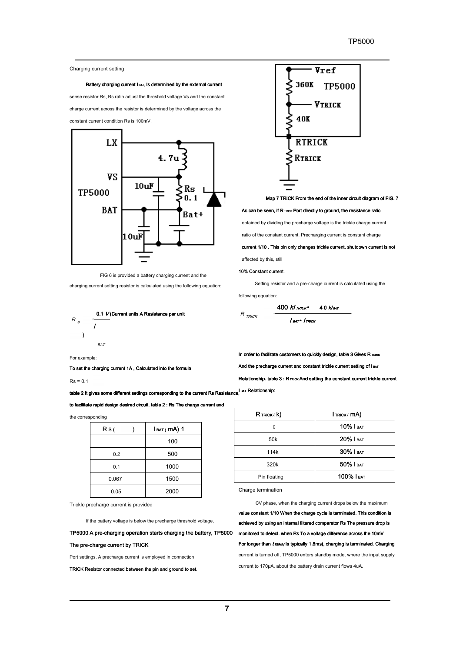#### Charging current setting

Battery charging current I BAT, Is determined by the external current

sense resistor Rs, Rs ratio adjust the threshold voltage Vs and the constant charge current across the resistor is determined by the voltage across the





FIG 6 is provided a battery charging current and the

charging current setting resistor is calculated using the following equation:



 $\overline{\mathbf{v_{ref}}}$ 360K ⋞ **TP5000 VTRICK** ⋞ 40K **RTRICK RTRICK** 

Map 7 TRICK From the end of the inner circuit diagram of FIG. 7

As can be seen, if R TRICK Port directly to ground, the resistance ratio

obtained by dividing the precharge voltage is the trickle charge current

ratio of the constant current. Precharging current is constant charge

current 1/10 . This pin only changes trickle current, shutdown current is not

affected by this, still

#### 10% Constant current.

Setting resistor and a pre-charge current is calculated using the

In order to facilitate customers to quickly design, table 3 Gives R TRICK And the precharge current and constant trickle current setting of I BAT Relationship. table  $3 : R$   $mck$  And setting the constant current trickle current

following equation:

R

|              | 400 $k$ I $R_{K}$ | $40$ Klbat |
|--------------|-------------------|------------|
| <b>TRICK</b> | ∣ват∙ Іткіск      |            |

For example:

**BAT** 

To set the charging current 1A , Calculated into the formula

 $Rs = 0.1$ 

table 2 It gives some different settings corresponding to the current Rs Resistance,<sup>| ват</sup> Relationship:

to facilitate rapid design desired circuit. table 2 : Rs The charge current and

the corresponding

| Rs(   | $IBAT$ (mA) 1 |
|-------|---------------|
|       | 100           |
| 0.2   | 500           |
| 0.1   | 1000          |
| 0.067 | 1500          |
| 0.05  | 2000          |

Trickle precharge current is provided

If the battery voltage is below the precharge threshold voltage,

TP5000 A pre-charging operation starts charging the battery, TP5000

#### The pre-charge current by TRICK

Port settings. A precharge current is employed in connection

TRICK Resistor connected between the pin and ground to set.

| $R$ Trick ( $k$ ) | Im(x (mA))   |
|-------------------|--------------|
| O                 | $10\%$ I BAT |
| 50 <sub>k</sub>   | 20% І ват    |
| 114k              | 30% І ват    |
| 320k              | 50% І ват    |
| Pin floating      | 100% І ват   |
|                   |              |

Charge termination

CV phase, when the charging current drops below the maximum

value constant 1/10 When the charge cycle is terminated. This condition is achieved by using an internal filtered comparator Rs The pressure drop is monitored to detect. when Rs To a voltage difference across the 10mV For longer than  $t$ <sub>TERM</sub> (Is typically 1.8ms), charging is terminated. Charging current is turned off, TP5000 enters standby mode, where the input supply current to 170μA, about the battery drain current flows 4uA.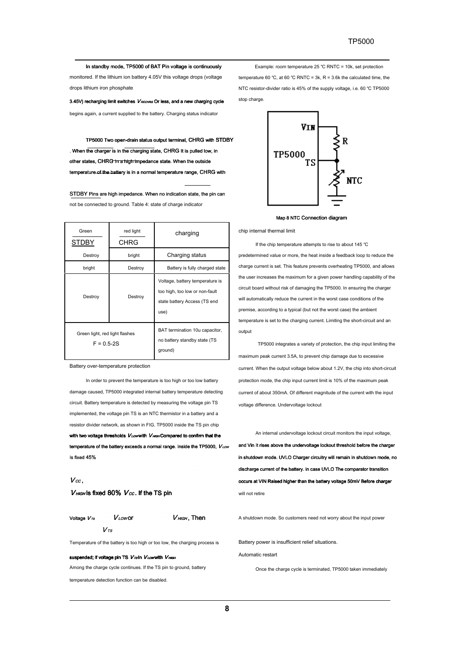In standby mode, TP5000 of BAT Pin voltage is continuously

monitored. If the lithium ion battery 4.05V this voltage drops (voltage drops lithium iron phosphate

3.45V) recharging limit switches  $V_{RECHRG}$  Or less, and a new charging cycle

begins again, a current supplied to the battery. Charging status indicator

TP5000 Two open-drain status output terminal, CHRG with STDBY . When the charger is in the charging state, CHRG It is pulled low, in other states, CHRG In a high impedance state. When the outside temperature of the battery is in a normal temperature range, CHRG with

STDBY Pins are high impedance. When no indication state, the pin can not be connected to ground. Table 4: state of charge indicator

| Green<br>STDBY                                   | red light<br>CHRG | charging                                                                                                  |
|--------------------------------------------------|-------------------|-----------------------------------------------------------------------------------------------------------|
| Destroy                                          | bright            | Charging status                                                                                           |
| bright                                           | Destroy           | Battery is fully charged state                                                                            |
| Destroy                                          | Destroy           | Voltage, battery temperature is<br>too high, too low or non-fault<br>state battery Access (TS end<br>use) |
| Green light, red light flashes<br>$F = 0.5 - 2S$ |                   | BAT termination 10u capacitor,<br>no battery standby state (TS<br>ground)                                 |

Battery over-temperature protection

In order to prevent the temperature is too high or too low battery damage caused, TP5000 integrated internal battery temperature detecting circuit. Battery temperature is detected by measuring the voltage pin TS implemented, the voltage pin TS is an NTC thermistor in a battery and a resistor divider network, as shown in FIG. TP5000 inside the TS pin chip with two voltage thresholds  $V_{\text{Low}}$  with  $V_{\text{HIGH}}$  Compared to confirm that the temperature of the battery exceeds a normal range. Inside the TP5000,  $V_{LOW}$ Is fixed 45%

#### $V_{cc}$ .

 $V<sub>HIGH</sub>$  Is fixed 80%  $V<sub>CC</sub>$ . If the TS pin

Voltage  $V_{\textit{rs}}$   $V_{\textit{LOW}}$  or  $V_{^{TS}}$ 

Temperature of the battery is too high or too low, the charging process is

#### suspended; if voltage pin TS V<sub>rs</sub>in VLow with V HIGH

Among the charge cycle continues. If the TS pin to ground, battery

temperature detection function can be disabled.

Example: room temperature 25 ℃ RNTC = 10k, set protection temperature 60 ℃, at 60 ℃ RNTC = 3k, R = 3.6k the calculated time, the

NTC resistor-divider ratio is 45% of the supply voltage, i.e. 60 ℃ TP5000 stop charge.



Map 8 NTC Connection diagram

chip internal thermal limit

If the chip temperature attempts to rise to about 145 ℃ predetermined value or more, the heat inside a feedback loop to reduce the charge current is set. This feature prevents overheating TP5000, and allows the user increases the maximum for a given power handling capability of the circuit board without risk of damaging the TP5000. In ensuring the charger will automatically reduce the current in the worst case conditions of the premise, according to a typical (but not the worst case) the ambient temperature is set to the charging current. Limiting the short-circuit and an output

TP5000 integrates a variety of protection, the chip input limiting the maximum peak current 3.5A, to prevent chip damage due to excessive current. When the output voltage below about 1.2V, the chip into short-circuit protection mode, the chip input current limit is 10% of the maximum peak current of about 350mA. Of different magnitude of the current with the input voltage difference. Undervoltage lockout

An internal undervoltage lockout circuit monitors the input voltage, and Vin It rises above the undervoltage lockout threshold before the charger in shutdown mode. UVLO Charger circuitry will remain in shutdown mode, no discharge current of the battery. in case UVLO The comparator transition occurs at VIN Raised higher than the battery voltage 50mV Before charger will not retire

 $V<sub>HIGH</sub>$ , Then  $V<sub>HIGH</sub>$  a shutdown mode. So customers need not worry about the input power

Battery power is insufficient relief situations.

Automatic restart

Once the charge cycle is terminated, TP5000 taken immediately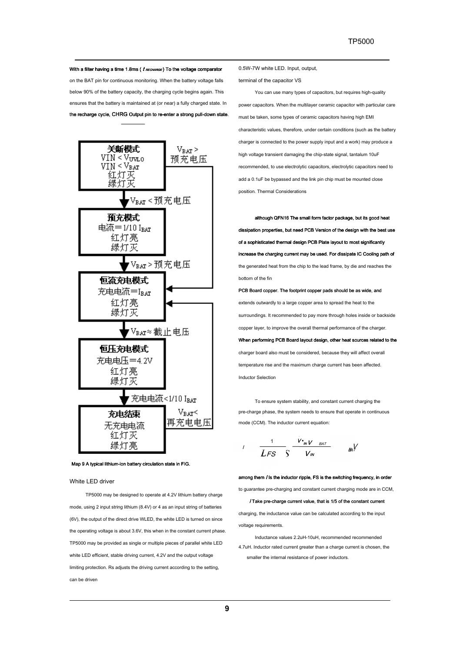With a filter having a time 1.8ms ( $t$  RECHARGE) To the voltage comparator

on the BAT pin for continuous monitoring. When the battery voltage falls below 90% of the battery capacity, the charging cycle begins again. This ensures that the battery is maintained at (or near) a fully charged state. In the recharge cycle, CHRG Output pin to re-enter a strong pull-down state.



Map 9 A typical lithium-ion battery circulation state in FIG.

White LED driver

TP5000 may be designed to operate at 4.2V lithium battery charge mode, using 2 input string lithium (8.4V) or 4 as an input string of batteries (6V), the output of the direct drive WLED, the white LED is turned on since the operating voltage is about 3.6V, this when in the constant current phase. TP5000 may be provided as single or multiple pieces of parallel white LED white LED efficient, stable driving current, 4.2V and the output voltage limiting protection. Rs adjusts the driving current according to the setting, can be driven

0.5W-7W white LED. Input, output,

terminal of the capacitor VS

You can use many types of capacitors, but requires high-quality power capacitors. When the multilayer ceramic capacitor with particular care must be taken, some types of ceramic capacitors having high EMI characteristic values, therefore, under certain conditions (such as the battery charger is connected to the power supply input and a work) may produce a high voltage transient damaging the chip-state signal, tantalum 10uF recommended, to use electrolytic capacitors, electrolytic capacitors need to add a 0.1uF be bypassed and the link pin chip must be mounted close position. Thermal Considerations

although QFN16 The small form factor package, but its good heat dissipation properties, but need PCB Version of the design with the best use of a sophisticated thermal design PCB Plate layout to most significantly increase the charging current may be used. For dissipate IC Cooling path of the generated heat from the chip to the lead frame, by die and reaches the bottom of the fin

PCB Board copper. The footprint copper pads should be as wide, and extends outwardly to a large copper area to spread the heat to the surroundings. It recommended to pay more through holes inside or backside copper layer, to improve the overall thermal performance of the charger.

When performing PCB Board layout design, other heat sources related to the charger board also must be considered, because they will affect overall temperature rise and the maximum charge current has been affected. Inductor Selection

To ensure system stability, and constant current charging the pre-charge phase, the system needs to ensure that operate in continuous mode (CCM). The inductor current equation:

$$
I = \frac{1}{LFS} \frac{V_{\cdot m}V_{\cdot BAT}}{V_{\cdot m}} = \frac{Ba}{}
$$

among them *I* Is the inductor ripple, FS is the switching frequency, in order to guarantee pre-charging and constant current charging mode are in CCM,

I Take pre-charge current value, that is 1/5 of the constant current charging, the inductance value can be calculated according to the input voltage requirements.

Inductance values 2.2uH-10uH, recommended recommended 4.7uH. Inductor rated current greater than a charge current is chosen, the smaller the internal resistance of power inductors.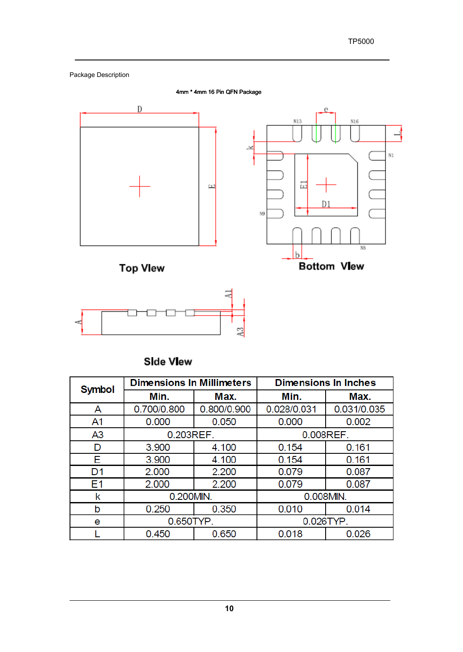

# **Side View**

| <b>Symbol</b>  | <b>Dimensions In Millimeters</b> |             | <b>Dimensions In Inches</b> |             |  |
|----------------|----------------------------------|-------------|-----------------------------|-------------|--|
|                | Min.                             | Max.        | Min.                        | Max.        |  |
| A              | 0.700/0.800                      | 0.800/0.900 | 0.028/0.031                 | 0.031/0.035 |  |
| A1             | 0.000                            | 0.050       | 0.000                       | 0.002       |  |
| A <sub>3</sub> |                                  | 0.203REF.   |                             | 0.008REF.   |  |
| D              | 3.900                            | 4.100       | 0.154                       | 0.161       |  |
| E              | 3.900                            | 4.100       | 0.154                       | 0.161       |  |
| D <sub>1</sub> | 2.000                            | 2.200       | 0.079                       | 0.087       |  |
| E <sub>1</sub> | 2.000                            | 2.200       | 0.079                       | 0.087       |  |
| k              | 0.200MIN.                        |             | 0.008MIN.                   |             |  |
| b              | 0.250                            | 0.350       | 0.010                       | 0.014       |  |
| e              | 0.650TYP.                        |             | 0.026TYP.                   |             |  |
|                | 0.450                            | 0.650       | 0.026<br>0.018              |             |  |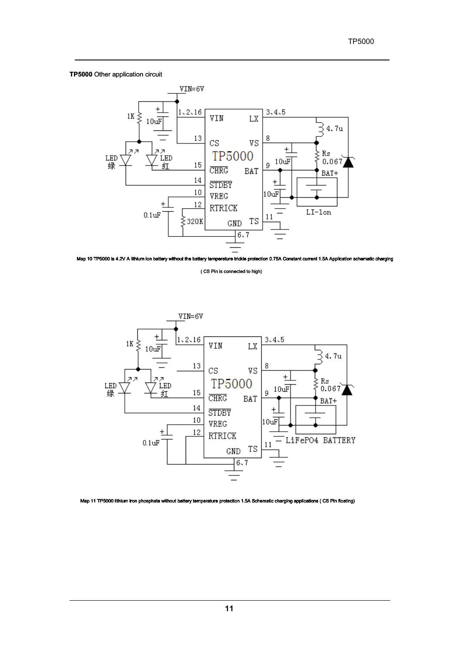# **TP5000** Other application circuit



Map 10 TP5000 is 4.2V A lithium ion battery without the battery temperature trickle protection 0.75A Constant current 1.5A Application schematic charging

( CS Pin is connected to high)



Map 11 TP5000 lithium iron phosphate without battery temperature protection 1.5A Schematic charging applications ( ( CS Pin floating)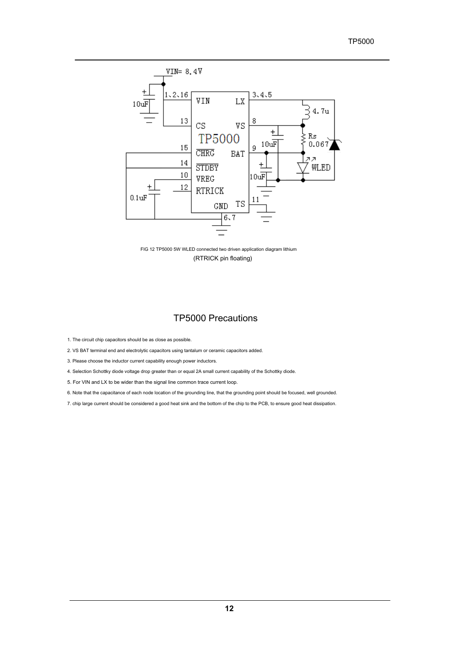# TP5000



FIG 12 TP5000 5W WLED connected two driven application diagram lithium (RTRICK pin floating)

# TP5000 Precautions

1. The circuit chip capacitors should be as close as possible.

2. VS BAT terminal end and electrolytic capacitors using tantalum or ceramic capacitors added.

3. Please choose the inductor current capability enough power inductors.

4. Selection Schottky diode voltage drop greater than or equal 2A small current capability of the Schottky diode.

5. For VIN and LX to be wider than the signal line common trace current loop.

6. Note that the capacitance of each node location of the grounding line, that the grounding point should be focused, well grounded.

7. chip large current should be considered a good heat sink and the bottom of the chip to the PCB, to ensure good heat dissipation.